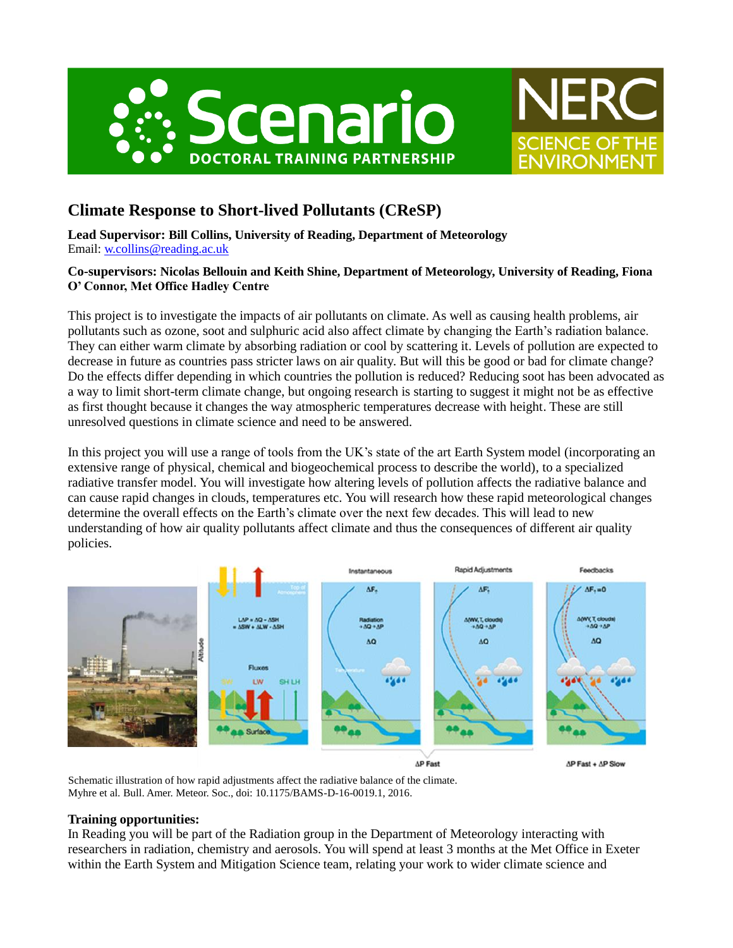



# **Climate Response to Short-lived Pollutants (CReSP)**

**Lead Supervisor: Bill Collins, University of Reading, Department of Meteorology** Email: [w.collins@reading.ac.uk](mailto:w.collins@reading.ac.uk)

## **Co-supervisors: Nicolas Bellouin and Keith Shine, Department of Meteorology, University of Reading, Fiona O' Connor, Met Office Hadley Centre**

This project is to investigate the impacts of air pollutants on climate. As well as causing health problems, air pollutants such as ozone, soot and sulphuric acid also affect climate by changing the Earth's radiation balance. They can either warm climate by absorbing radiation or cool by scattering it. Levels of pollution are expected to decrease in future as countries pass stricter laws on air quality. But will this be good or bad for climate change? Do the effects differ depending in which countries the pollution is reduced? Reducing soot has been advocated as a way to limit short-term climate change, but ongoing research is starting to suggest it might not be as effective as first thought because it changes the way atmospheric temperatures decrease with height. These are still unresolved questions in climate science and need to be answered.

In this project you will use a range of tools from the UK's state of the art Earth System model (incorporating an extensive range of physical, chemical and biogeochemical process to describe the world), to a specialized radiative transfer model. You will investigate how altering levels of pollution affects the radiative balance and can cause rapid changes in clouds, temperatures etc. You will research how these rapid meteorological changes determine the overall effects on the Earth's climate over the next few decades. This will lead to new understanding of how air quality pollutants affect climate and thus the consequences of different air quality policies.



**AP Fast** 

 $\Delta P$  Fast +  $\Delta P$  Slow

Schematic illustration of how rapid adjustments affect the radiative balance of the climate. Myhre et al. Bull. Amer. Meteor. Soc., doi: 10.1175/BAMS-D-16-0019.1, 2016.

### **Training opportunities:**

In Reading you will be part of the Radiation group in the Department of Meteorology interacting with researchers in radiation, chemistry and aerosols. You will spend at least 3 months at the Met Office in Exeter within the Earth System and Mitigation Science team, relating your work to wider climate science and